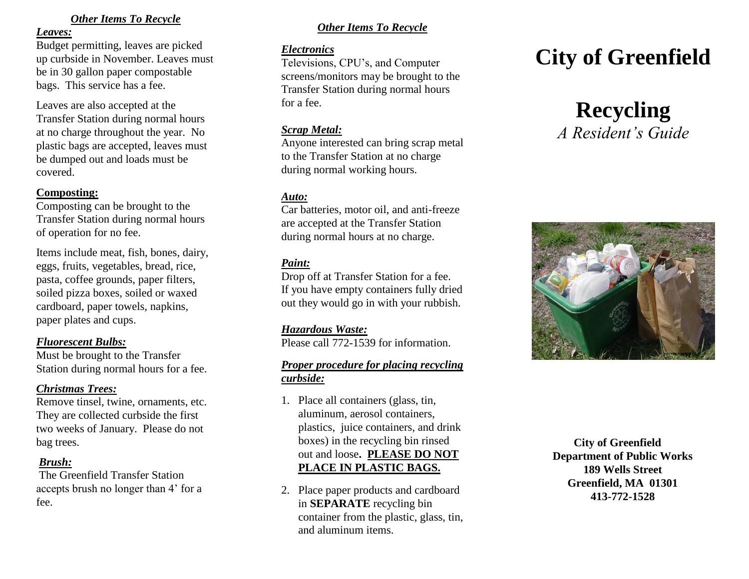### *Other Items To Recycle*

#### *Leaves:*

Budget permitting, leaves are picked up curbside in November. Leaves must be in 30 gallon paper compostable bags. This service has a fee.

Leaves are also accepted at the Transfer Station during normal hours at no charge throughout the year. No plastic bags are accepted, leaves must be dumped out and loads must be covered.

## **Composting:**

Composting can be brought to the Transfer Station during normal hours of operation for no fee.

Items include meat, fish, bones, dairy, eggs, fruits, vegetables, bread, rice, pasta, coffee grounds, paper filters, soiled pizza boxes, soiled or waxed cardboard, paper towels, napkins, paper plates and cups.

## *Fluorescent Bulbs:*

Must be brought to the Transfer Station during normal hours for a fee .

## *Christmas Trees:*

Remove tinsel, twine, ornaments, etc. They are collected curbside the first two weeks of January. Please do not bag trees.

## *Brush:*

The Greenfield Transfer Station accepts brush no longer than 4' for a fee .

# *Other Items To Recycle*

### *Electronics*

Televisions, CPU's, and Computer screens/monitors may be brought to the Transfer Station during normal hours for a fee.

### *Scrap Metal :*

Anyone interested can bring scrap metal to the Transfer Station at no charge during normal working hours.

# *Auto:*

Car batteries, motor oil, and anti -freeze are accepted at the Transfer Station during normal hours at no charge.

# *Paint:*

Drop off at Transfer Station for a fee. If you have empty containers fully dried out they would go in with your rubbish.

## *Hazardous Waste:*

Please call 772 -1539 for information.

## *Proper procedure for placing recycling curbside:*

- 1. Place all containers (glass, tin, aluminum, aerosol containers, plastics, juice containers, and drink boxes) in the recycling bin rinsed out and loose**. PLEASE DO NOT PLACE IN PLASTIC BAGS.**
- 2. Place paper products and cardboard in **SEPARATE** recycling bin container from the plastic, glass, tin, and aluminum items.

# **City of Greenfield**





 **City of Greenfield Department of Public Works 189 Wells Street Greenfield, MA 01301 413 -772 -1528**